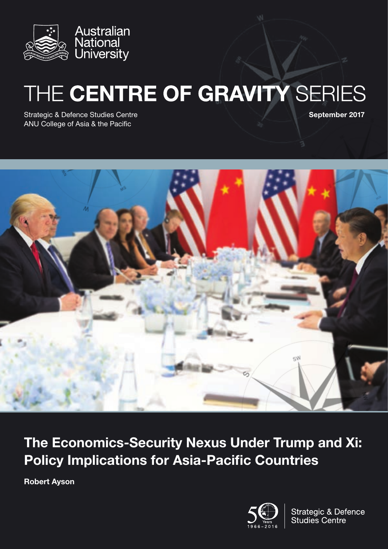

# THE CENTRE OF GRAVITY SERIES

Strategic & Defence Studies Centre ANU College of Asia & the Pacific

September 2017



# The Economics-Security Nexus Under Trump and Xi: Policy Implications for Asia-Pacific Countries

Robert Ayson



**Strategic & Defence Studies Centre**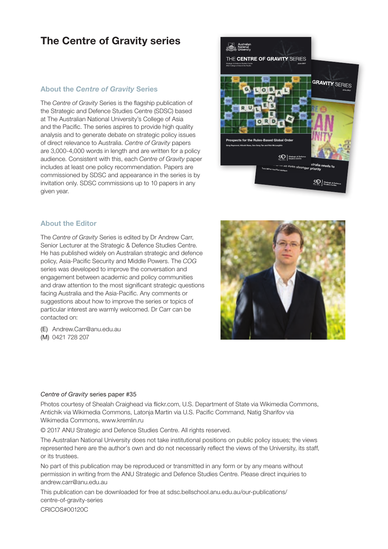### The Centre of Gravity series

#### About the *Centre of Gravity* Series

The *Centre of Gravity* Series is the flagship publication of the Strategic and Defence Studies Centre (SDSC) based at The Australian National University's College of Asia and the Pacific. The series aspires to provide high quality analysis and to generate debate on strategic policy issues of direct relevance to Australia. *Centre of Gravity* papers are 3,000‑4,000 words in length and are written for a policy audience. Consistent with this, each *Centre of Gravity* paper includes at least one policy recommendation. Papers are commissioned by SDSC and appearance in the series is by invitation only. SDSC commissions up to 10 papers in any given year.



#### About the Editor

The *Centre of Gravity* Series is edited by Dr Andrew Carr, Senior Lecturer at the Strategic & Defence Studies Centre. He has published widely on Australian strategic and defence policy, Asia-Pacific Security and Middle Powers. The *COG* series was developed to improve the conversation and engagement between academic and policy communities and draw attention to the most significant strategic questions facing Australia and the Asia-Pacific. Any comments or suggestions about how to improve the series or topics of particular interest are warmly welcomed. Dr Carr can be contacted on:

- (E) Andrew.Carr@anu.edu.au
- (M) 0421 728 207



#### *Centre of Gravity* series paper #35

Photos courtesy of Shealah Craighead via flickr.com, U.S. Department of State via Wikimedia Commons, Antichik via Wikimedia Commons, Latonja Martin via U.S. Pacific Command, Natig Sharifov via Wikimedia Commons, www.kremlin.ru

© 2017 ANU Strategic and Defence Studies Centre. All rights reserved.

The Australian National University does not take institutional positions on public policy issues; the views represented here are the author's own and do not necessarily reflect the views of the University, its staff, or its trustees.

No part of this publication may be reproduced or transmitted in any form or by any means without permission in writing from the ANU Strategic and Defence Studies Centre. Please direct inquiries to [andrew.carr@anu.edu.au](mailto:andrew.carr%40anu.edu.au?subject=)

This publication can be downloaded for free at [sdsc.bellschool.anu.edu.au/our-publications/](http://sdsc.bellschool.anu.edu.au/our-publications/centre-of-gravity-series) [centre-of-gravity-series](http://sdsc.bellschool.anu.edu.au/our-publications/centre-of-gravity-series)

CRICOS#00120C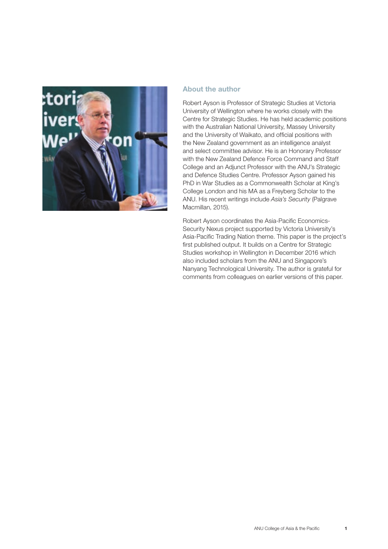

#### About the author

Robert Ayson is Professor of Strategic Studies at Victoria University of Wellington where he works closely with the Centre for Strategic Studies. He has held academic positions with the Australian National University, Massey University and the University of Waikato, and official positions with the New Zealand government as an intelligence analyst and select committee advisor. He is an Honorary Professor with the New Zealand Defence Force Command and Staff College and an Adjunct Professor with the ANU's Strategic and Defence Studies Centre. Professor Ayson gained his PhD in War Studies as a Commonwealth Scholar at King's College London and his MA as a Freyberg Scholar to the ANU. His recent writings include *Asia's Security* (Palgrave Macmillan, 2015).

Robert Ayson coordinates the Asia-Pacific Economics-Security Nexus project supported by Victoria University's Asia-Pacific Trading Nation theme. This paper is the project's first published output. It builds on a Centre for Strategic Studies workshop in Wellington in December 2016 which also included scholars from the ANU and Singapore's Nanyang Technological University. The author is grateful for comments from colleagues on earlier versions of this paper.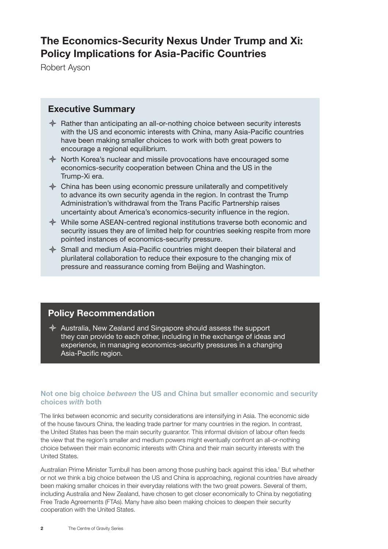## The Economics-Security Nexus Under Trump and Xi: Policy Implications for Asia-Pacific Countries

Robert Ayson

### Executive Summary

- $\triangle$  Rather than anticipating an all-or-nothing choice between security interests with the US and economic interests with China, many Asia-Pacific countries have been making smaller choices to work with both great powers to encourage a regional equilibrium.
- $\triangle$  North Korea's nuclear and missile provocations have encouraged some economics-security cooperation between China and the US in the Trump-Xi era.
- $\triangle$  China has been using economic pressure unilaterally and competitively to advance its own security agenda in the region. In contrast the Trump Administration's withdrawal from the Trans Pacific Partnership raises uncertainty about America's economics-security influence in the region.
- $\triangleq$  While some ASEAN-centred regional institutions traverse both economic and security issues they are of limited help for countries seeking respite from more pointed instances of economics-security pressure.
- $\triangleq$  Small and medium Asia-Pacific countries might deepen their bilateral and plurilateral collaboration to reduce their exposure to the changing mix of pressure and reassurance coming from Beijing and Washington.

### Policy Recommendation

 $\triangle$  Australia, New Zealand and Singapore should assess the support they can provide to each other, including in the exchange of ideas and experience, in managing economics-security pressures in a changing Asia-Pacific region.

#### Not one big choice *between* the US and China but smaller economic and security choices *with* both

The links between economic and security considerations are intensifying in Asia. The economic side of the house favours China, the leading trade partner for many countries in the region. In contrast, the United States has been the main security guarantor. This informal division of labour often feeds the view that the region's smaller and medium powers might eventually confront an all-or-nothing choice between their main economic interests with China and their main security interests with the United States.

Australian Prime Minister Turnbull has been among those pushing back against this idea.<sup>1</sup> But whether or not we think a big choice between the US and China is approaching, regional countries have already been making smaller choices in their everyday relations with the two great powers. Several of them, including Australia and New Zealand, have chosen to get closer economically to China by negotiating Free Trade Agreements (FTAs). Many have also been making choices to deepen their security cooperation with the United States.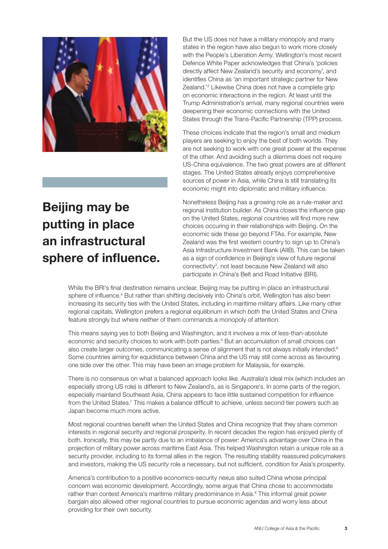

# Beijing may be putting in place an infrastructural sphere of influence.

But the US does not have a military monopoly and many states in the region have also begun to work more closely with the People's Liberation Army. Wellington's most recent Defence White Paper acknowledges that China's 'policies directly affect New Zealand's security and economy', and identifies China as 'an important strategic partner for New Zealand.'2 Likewise China does not have a complete grip on economic interactions in the region. At least until the Trump Administration's arrival, many regional countries were deepening their economic connections with the United States through the Trans-Pacific Partnership (TPP) process.

These choices indicate that the region's small and medium players are seeking to enjoy the best of both worlds. They are not seeking to work with one great power at the expense of the other. And avoiding such a dilemma does not require US-China equivalence. The two great powers are at different stages. The United States already enjoys comprehensive sources of power in Asia, while China is still translating its economic might into diplomatic and military influence.

Nonetheless Beijing has a growing role as a rule-maker and regional institution builder. As China closes the influence gap on the United States, regional countries will find more new choices occuring in their relationships with Beijing. On the economic side these go beyond FTAs. For example, New Zealand was the first western country to sign up to China's Asia Infrastructure Investment Bank (AIIB). This can be taken as a sign of confidence in Beijing's view of future regional connectivity3 , not least because New Zealand will also participate in China's Belt and Road Initiative (BRI).

While the BRI's final destination remains unclear, Beijing may be putting in place an infrastructural sphere of influence.<sup>4</sup> But rather than shifting decisively into China's orbit, Wellington has also been increasing its security ties with the United States, including in maritime military affairs. Like many other regional capitals, Wellington prefers a regional equilibrium in which *both* the United States and China feature strongly but where *neither* of them commands a monopoly of attention.

This means saying yes to both Beijing and Washington, and it involves a mix of less-than-absolute economic and security choices to work with both parties.<sup>5</sup> But an accumulation of small choices can also create larger outcomes, communicating a sense of alignment that is not always initially intended.<sup>6</sup> Some countries aiming for equidistance between China and the US may still come across as favouring one side over the other. This may have been an image problem for Malaysia, for example.

There is no consensus on what a balanced approach looks like. Australia's ideal mix (which includes an especially strong US role) is different to New Zealand's, as is Singapore's. In some parts of the region, especially mainland Southeast Asia, China appears to face little sustained competition for influence from the United States.<sup>7</sup> This makes a balance difficult to achieve, unless second tier powers such as Japan become much more active.

Most regional countries benefit when the United States and China recognize that they share common interests in regional security *and* regional prosperity. In recent decades the region has enjoyed plenty of both. Ironically, this may be partly due to an imbalance of power: America's advantage over China in the projection of military power across maritime East Asia. This helped Washington retain a unique role as a security provider, including to its formal allies in the region. The resulting stability reassured policymakers and investors, making the US *security* role a necessary, but not sufficient, condition for Asia's prosperity.

America's contribution to a positive economics-security nexus also suited China whose principal concern was economic development. Accordingly, some argue that China chose to accommodate rather than contest America's maritime military predominance in Asia.<sup>8</sup> This informal great power bargain also allowed other regional countries to pursue economic agendas and worry less about providing for their own security.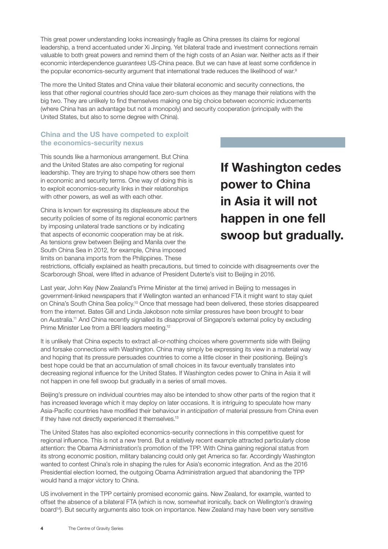This great power understanding looks increasingly fragile as China presses its claims for regional leadership, a trend accentuated under Xi Jinping. Yet bilateral trade and investment connections remain valuable to both great powers and remind them of the high costs of an Asian war. Neither acts as if their economic interdependence *guarantees* US-China peace. But we can have at least some confidence in the popular economics-security argument that international trade reduces the likelihood of war.<sup>9</sup>

The more the United States and China value their bilateral economic and security connections, the less that other regional countries should face zero-sum choices as they manage their relations with the big two. They are unlikely to find themselves making one big choice between economic inducements (where China has an advantage but not a monopoly) and security cooperation (principally with the United States, but also to some degree with China).

#### China and the US have competed to exploit the economics-security nexus

This sounds like a harmonious arrangement. But China and the United States are also competing for regional leadership. They are trying to shape how others see them in economic and security terms. One way of doing this is to exploit economics-security links in their relationships with other powers, as well as with each other.

China is known for expressing its displeasure about the security policies of some of its regional economic partners by imposing unilateral trade sanctions or by indicating that aspects of economic cooperation may be at risk. As tensions grew between Beijing and Manila over the South China Sea in 2012, for example, China imposed limits on banana imports from the Philippines. These

# If Washington cedes power to China in Asia it will not happen in one fell swoop but gradually.

restrictions, officially explained as health precautions, but timed to coincide with disagreements over the Scarborough Shoal, were lifted in advance of President Duterte's visit to Beijing in 2016.

Last year, John Key (New Zealand's Prime Minister at the time) arrived in Beijing to messages in government-linked newspapers that if Wellington wanted an enhanced FTA it might want to stay quiet on China's South China Sea policy.10 Once that message had been delivered, these stories disappeared from the internet. Bates Gill and Linda Jakobson note similar pressures have been brought to bear on Australia.11 And China recently signalled its disapproval of Singapore's external policy by excluding Prime Minister Lee from a BRI leaders meeting.12

It is unlikely that China expects to extract all-or-nothing choices where governments side with Beijing and forsake connections with Washington. China may simply be expressing its view in a material way and hoping that its pressure persuades countries to come a little closer in their positioning. Beijing's best hope could be that an accumulation of small choices in its favour eventually translates into decreasing regional influence for the United States. If Washington cedes power to China in Asia it will not happen in one fell swoop but gradually in a series of small moves.

Beijing's pressure on individual countries may also be intended to show other parts of the region that it has increased leverage which it may deploy on later occasions. It is intriguing to speculate how many Asia-Pacific countries have modified their behaviour in *anticipation* of material pressure from China even if they have not directly experienced it themselves.<sup>13</sup>

The United States has also exploited economics-security connections in this competitive quest for regional influence. This is not a new trend. But a relatively recent example attracted particularly close attention: the Obama Administration's promotion of the TPP. With China gaining regional status from its strong economic position, military balancing could only get America so far. Accordingly Washington wanted to contest China's role in shaping the rules for Asia's economic integration. And as the 2016 Presidential election loomed, the outgoing Obama Administration argued that abandoning the TPP would hand a major victory to China.

US involvement in the TPP certainly promised economic gains. New Zealand, for example, wanted to offset the absence of a bilateral FTA (which is now, somewhat ironically, back on Wellington's drawing board<sup>14</sup>). But security arguments also took on importance. New Zealand may have been very sensitive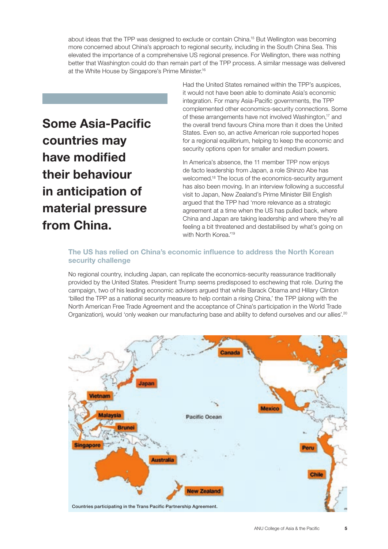about ideas that the TPP was designed to exclude or contain China.15 But Wellington was becoming more concerned about China's approach to regional security, including in the South China Sea. This elevated the importance of a comprehensive US regional presence. For Wellington, there was nothing better that Washington could do than remain part of the TPP process. A similar message was delivered at the White House by Singapore's Prime Minister.16

Some Asia-Pacific countries may have modified their behaviour in anticipation of material pressure from China.

Had the United States remained within the TPP's auspices, it would not have been able to dominate Asia's economic integration. For many Asia-Pacific governments, the TPP complemented other economics-security connections. Some of these arrangements have not involved Washington,<sup>17</sup> and the overall trend favours China more than it does the United States. Even so, an active American role supported hopes for a regional equilibrium, helping to keep the economic and security options open for smaller and medium powers.

In America's absence, the 11 member TPP now enjoys de facto leadership from Japan, a role Shinzo Abe has welcomed.18 The locus of the economics-security argument has also been moving. In an interview following a successful visit to Japan, New Zealand's Prime Minister Bill English argued that the TPP had 'more relevance as a strategic agreement at a time when the US has pulled back, where China and Japan are taking leadership and where they're all feeling a bit threatened and destabilised by what's going on with North Korea.'<sup>19</sup>

#### The US has relied on China's economic influence to address the North Korean security challenge

No regional country, including Japan, can replicate the economics-security reassurance traditionally provided by the United States. President Trump seems predisposed to eschewing that role. During the campaign, two of his leading economic advisers argued that while Barack Obama and Hillary Clinton 'billed the TPP as a national security measure to help contain a rising China,' the TPP (along with the North American Free Trade Agreement and the acceptance of China's participation in the World Trade Organization), would 'only weaken our manufacturing base and ability to defend ourselves and our allies'.<sup>20</sup>

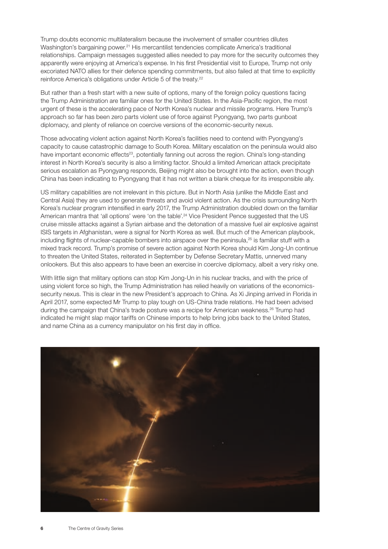Trump doubts economic multilateralism because the involvement of smaller countries dilutes Washington's bargaining power.21 His mercantilist tendencies complicate America's traditional relationships. Campaign messages suggested allies needed to pay more for the security outcomes they apparently were enjoying at America's expense. In his first Presidential visit to Europe, Trump not only excoriated NATO allies for their defence spending commitments, but also failed at that time to explicitly reinforce America's obligations under Article 5 of the treaty.<sup>22</sup>

But rather than a fresh start with a new suite of options, many of the foreign policy questions facing the Trump Administration are familiar ones for the United States. In the Asia-Pacific region, the most urgent of these is the accelerating pace of North Korea's nuclear and missile programs. Here Trump's approach so far has been zero parts violent use of force against Pyongyang, two parts gunboat diplomacy, and plenty of reliance on coercive versions of the economic-security nexus.

Those advocating violent action against North Korea's facilities need to contend with Pyongyang's capacity to cause catastrophic damage to South Korea. Military escalation on the peninsula would also have important economic effects<sup>23</sup>, potentially fanning out across the region. China's long-standing interest in North Korea's security is also a limiting factor. Should a limited American attack precipitate serious escalation as Pyongyang responds, Beijing might also be brought into the action, even though China has been indicating to Pyongyang that it has not written a blank cheque for its irresponsible ally.

US military capabilities are not irrelevant in this picture. But in North Asia (unlike the Middle East and Central Asia) they are used to generate threats and avoid violent action. As the crisis surrounding North Korea's nuclear program intensified in early 2017, the Trump Administration doubled down on the familiar American mantra that 'all options' were 'on the table'.<sup>24</sup> Vice President Pence suggested that the US cruise missile attacks against a Syrian airbase and the detonation of a massive fuel air explosive against ISIS targets in Afghanistan, were a signal for North Korea as well. But much of the American playbook, including flights of nuclear-capable bombers into airspace over the peninsula,<sup>25</sup> is familiar stuff with a mixed track record. Trump's promise of severe action against North Korea should Kim Jong-Un continue to threaten the United States, reiterated in September by Defense Secretary Mattis, unnerved many onlookers. But this also appears to have been an exercise in coercive diplomacy, albeit a very risky one.

With little sign that military options can stop Kim Jong-Un in his nuclear tracks, and with the price of using violent force so high, the Trump Administration has relied heavily on variations of the economicssecurity nexus. This is clear in the new President's approach to China. As Xi Jinping arrived in Florida in April 2017, some expected Mr Trump to play tough on US-China trade relations. He had been advised during the campaign that China's trade posture was a recipe for American weakness.<sup>26</sup> Trump had indicated he might slap major tariffs on Chinese imports to help bring jobs back to the United States, and name China as a currency manipulator on his first day in office.

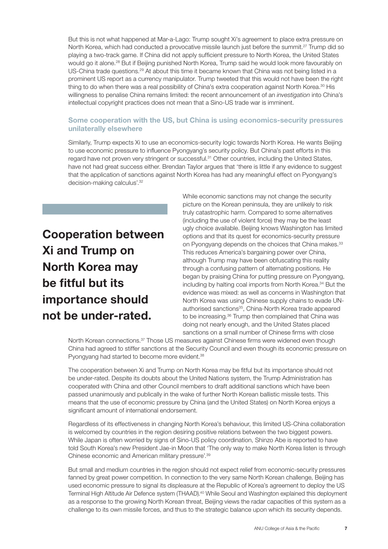But this is not what happened at Mar-a-Lago: Trump sought Xi's agreement to place extra pressure on North Korea, which had conducted a provocative missile launch just before the summit.<sup>27</sup> Trump did so playing a two-track game. If China did not apply sufficient pressure to North Korea, the United States would go it alone.<sup>28</sup> But if Beijing punished North Korea, Trump said he would look more favourably on US-China trade questions.<sup>29</sup> At about this time it became known that China was not being listed in a prominent US report as a currency manipulator. Trump tweeted that this would not have been the right thing to do when there was a real possibility of China's extra cooperation against North Korea.<sup>30</sup> His willingness to penalise China remains limited: the recent announcement of an *investigation* into China's intellectual copyright practices does not mean that a Sino-US trade war is imminent.

#### Some cooperation with the US, but China is using economics-security pressures unilaterally elsewhere

Similarly, Trump expects Xi to use an economics-security logic towards North Korea. He wants Beijing to use economic pressure to influence Pyongyang's security policy. But China's past efforts in this regard have not proven very stringent or successful.<sup>31</sup> Other countries, including the United States, have not had great success either. Brendan Taylor argues that 'there is little if any evidence to suggest that the application of sanctions against North Korea has had any meaningful effect on Pyongyang's decision-making calculus'.32

Cooperation between Xi and Trump on North Korea may be fitful but its importance should not be under-rated.

While economic sanctions may not change the security picture on the Korean peninsula, they are unlikely to risk truly catastrophic harm. Compared to some alternatives (including the use of violent force) they may be the least ugly choice available. Beijing knows Washington has limited options and that its quest for economics-security pressure on Pyongyang depends on the choices that China makes.<sup>33</sup> This reduces America's bargaining power over China, although Trump may have been obfuscating this reality through a confusing pattern of alternating positions. He began by praising China for putting pressure on Pyongyang, including by halting coal imports from North Korea.<sup>34</sup> But the evidence was mixed: as well as concerns in Washington that North Korea was using Chinese supply chains to evade UNauthorised sanctions<sup>35</sup>, China-North Korea trade appeared to be increasing.<sup>36</sup> Trump then complained that China was doing not nearly enough, and the United States placed sanctions on a small number of Chinese firms with close

North Korean connections.<sup>37</sup> Those US measures against Chinese firms were widened even though China had agreed to stiffer sanctions at the Security Council and even though its economic pressure on Pyongyang had started to become more evident.<sup>38</sup>

The cooperation between Xi and Trump on North Korea may be fitful but its importance should not be under-rated. Despite its doubts about the United Nations system, the Trump Administration has cooperated with China and other Council members to draft additional sanctions which have been passed unanimously and publically in the wake of further North Korean ballistic missile tests. This means that the use of economic pressure by China (and the United States) on North Korea enjoys a significant amount of international endorsement.

Regardless of its effectiveness in changing North Korea's behaviour, this limited US-China collaboration is welcomed by countries in the region desiring positive relations between the two biggest powers. While Japan is often worried by signs of Sino-US policy coordination, Shinzo Abe is reported to have told South Korea's new President Jae-in Moon that 'The only way to make North Korea listen is through Chinese economic and American military pressure'.39

But small and medium countries in the region should not expect relief from economic-security pressures fanned by great power competition. In connection to the very same North Korean challenge, Beijing has used economic pressure to signal its displeasure at the Republic of Korea's agreement to deploy the US Terminal High Altitude Air Defence system (THAAD).<sup>40</sup> While Seoul and Washington explained this deployment as a response to the growing North Korean threat, Beijing views the radar capacities of this system as a challenge to its own missile forces, and thus to the strategic balance upon which its security depends.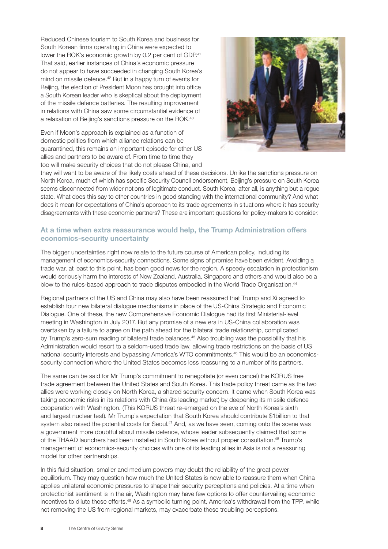Reduced Chinese tourism to South Korea and business for South Korean firms operating in China were expected to lower the ROK's economic growth by 0.2 per cent of GDP.<sup>41</sup> That said, earlier instances of China's economic pressure do not appear to have succeeded in changing South Korea's mind on missile defence.<sup>42</sup> But in a happy turn of events for Beijing, the election of President Moon has brought into office a South Korean leader who is skeptical about the deployment of the missile defence batteries. The resulting improvement in relations with China saw some circumstantial evidence of a relaxation of Beijing's sanctions pressure on the ROK.<sup>43</sup>

Even if Moon's approach is explained as a function of domestic politics from which alliance relations can be quarantined, this remains an important episode for other US allies and partners to be aware of. From time to time they too will make security choices that do not please China, and



they will want to be aware of the likely costs ahead of these decisions. Unlike the sanctions pressure on North Korea, much of which has specific Security Council endorsement, Beijing's pressure on South Korea seems disconnected from wider notions of legitimate conduct. South Korea, after all, is anything but a rogue state. What does this say to other countries in good standing with the international community? And what does it mean for expectations of China's approach to its trade agreements in situations where it has security disagreements with these economic partners? These are important questions for policy-makers to consider.

#### At a time when extra reassurance would help, the Trump Administration offers economics-security uncertainty

The bigger uncertainties right now relate to the future course of American policy, including its management of economics-security connections. Some signs of promise have been evident. Avoiding a trade war, at least to this point, has been good news for the region. A speedy escalation in protectionism would seriously harm the interests of New Zealand, Australia, Singapore and others and would also be a blow to the rules-based approach to trade disputes embodied in the World Trade Organisation.44

Regional partners of the US and China may also have been reassured that Trump and Xi agreed to establish four new bilateral dialogue mechanisms in place of the US-China Strategic and Economic Dialogue. One of these, the new Comprehensive Economic Dialogue had its first Ministerial-level meeting in Washington in July 2017. But any promise of a new era in US-China collaboration was overtaken by a failure to agree on the path ahead for the bilateral trade relationship, complicated by Trump's zero-sum reading of bilateral trade balances.45 Also troubling was the possibility that his Administration would resort to a seldom-used trade law, allowing trade restrictions on the basis of US national security interests and bypassing America's WTO commitments.46 This would be an economicssecurity connection where the United States becomes less reassuring to a number of its partners.

The same can be said for Mr Trump's commitment to renegotiate (or even cancel) the KORUS free trade agreement between the United States and South Korea. This trade policy threat came as the two allies were working closely on North Korea, a shared security concern. It came when South Korea was taking economic risks in its relations with China (its leading market) by deepening its missile defence cooperation with Washington. (This KORUS threat re-emerged on the eve of North Korea's sixth and largest nuclear test). Mr Trump's expectation that South Korea should contribute \$1billion to that system also raised the potential costs for Seoul.<sup>47</sup> And, as we have seen, coming onto the scene was a government more doubtful about missile defence, whose leader subsequently claimed that some of the THAAD launchers had been installed in South Korea without proper consultation.48 Trump's management of economics-security choices with one of its leading allies in Asia is not a reassuring model for other partnerships.

In this fluid situation, smaller and medium powers may doubt the reliability of the great power equilibrium. They may question how much the United States is now able to reassure them when China applies unilateral economic pressures to shape their security perceptions and policies. At a time when protectionist sentiment is in the air, Washington may have few options to offer countervailing economic incentives to dilute these efforts.<sup>49</sup> As a symbolic turning point, America's withdrawal from the TPP, while not removing the US from regional markets, may exacerbate these troubling perceptions.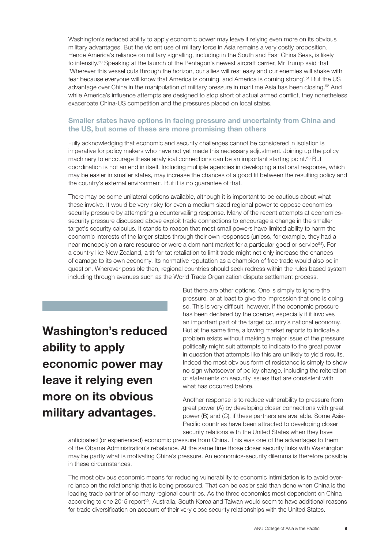Washington's reduced ability to apply economic power may leave it relying even more on its obvious military advantages. But the violent use of military force in Asia remains a very costly proposition. Hence America's reliance on military signalling, including in the South and East China Seas, is likely to intensify.<sup>50</sup> Speaking at the launch of the Pentagon's newest aircraft carrier, Mr Trump said that 'Wherever this vessel cuts through the horizon, our allies will rest easy and our enemies will shake with fear because everyone will know that America is coming, and America is coming strong'.<sup>51</sup> But the US advantage over China in the manipulation of military pressure in maritime Asia has been closing.<sup>52</sup> And while America's influence attempts are designed to stop short of actual armed conflict, they nonetheless exacerbate China-US competition and the pressures placed on local states.

#### Smaller states have options in facing pressure and uncertainty from China and the US, but some of these are more promising than others

Fully acknowledging that economic and security challenges cannot be considered in isolation is imperative for policy makers who have not yet made this necessary adjustment. Joining up the policy machinery to encourage these analytical connections can be an important starting point.<sup>53</sup> But coordination is not an end in itself. Including multiple agencies in developing a national response, which may be easier in smaller states, may increase the chances of a good fit between the resulting policy and the country's external environment. But it is no guarantee of that.

There may be some unilateral options available, although it is important to be cautious about what these involve. It would be very risky for even a medium sized regional power to oppose economicssecurity pressure by attempting a countervailing response. Many of the recent attempts at economicssecurity pressure discussed above exploit trade connections to encourage a change in the smaller target's security calculus. It stands to reason that most small powers have limited ability to harm the economic interests of the larger states through their own responses (unless, for example, they had a near monopoly on a rare resource or were a dominant market for a particular good or service<sup>54</sup>). For a country like New Zealand, a tit-for-tat retaliation to limit trade might not only increase the chances of damage to its own economy. Its normative reputation as a champion of free trade would also be in question. Wherever possible then, regional countries should seek redress within the rules based system including through avenues such as the World Trade Organization dispute settlement process.

Washington's reduced ability to apply economic power may leave it relying even more on its obvious military advantages.

But there are other options. One is simply to ignore the pressure, or at least to give the impression that one is doing so. This is very difficult, however, if the economic pressure has been declared by the coercer, especially if it involves an important part of the target country's national economy. But at the same time, allowing market reports to indicate a problem exists without making a major issue of the pressure politically might suit attempts to indicate to the great power in question that attempts like this are unlikely to yield results. Indeed the most obvious form of resistance is simply to show no sign whatsoever of policy change, including the reiteration of statements on security issues that are consistent with what has occurred before.

Another response is to reduce vulnerability to pressure from great power (A) by developing closer connections with great power (B) and (C), if these partners are available. Some Asia-Pacific countries have been attracted to developing closer security relations with the United States when they have

anticipated (or experienced) economic pressure from China. This was one of the advantages to them of the Obama Administration's rebalance. At the same time those closer security links with Washington may be partly what is motivating China's pressure. An economics-security dilemma is therefore possible in these circumstances.

The most obvious economic means for reducing vulnerability to economic intimidation is to avoid overreliance on the relationship that is being pressured. That can be easier said than done when China is the leading trade partner of so many regional countries. As the three economies most dependent on China according to one 2015 report<sup>55</sup>, Australia, South Korea and Taiwan would seem to have additional reasons for trade diversification on account of their very close security relationships with the United States.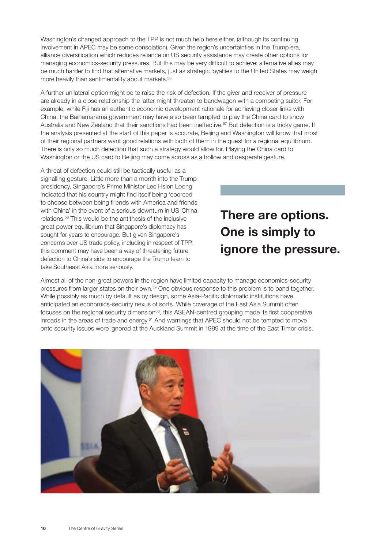Washington's changed approach to the TPP is not much help here either, (although its continuing involvement in APEC may be some consolation). Given the region's uncertainties in the Trump era, alliance diversification which reduces reliance on US security assistance may create other options for managing economics-security pressures. But this may be very difficult to achieve: alternative allies may be much harder to find that alternative markets, just as strategic loyalties to the United States may weigh more heavily than sentimentality about markets.<sup>56</sup>

A further unilateral option might be to raise the risk of defection. If the giver and receiver of pressure are already in a close relationship the latter might threaten to bandwagon with a competing suitor. For example, while Fiji has an authentic economic development rationale for achieving closer links with China, the Bainamarama government may have also been tempted to play the China card to show Australia and New Zealand that their sanctions had been ineffective.<sup>57</sup> But defection is a tricky game. If the analysis presented at the start of this paper is accurate, Beijing and Washington will know that most of their regional partners want good relations with both of them in the quest for a regional equilibrium. There is only so much defection that such a strategy would allow for. Playing the China card to Washington or the US card to Beijing may come across as a hollow and desperate gesture.

A threat of defection could still be tactically useful as a signalling gesture. Little more than a month into the Trump presidency, Singapore's Prime Minister Lee Hsien Loong indicated that his country might find itself being 'coerced to choose between being friends with America and friends with China' in the event of a serious downturn in US-China relations.58 This would be the antithesis of the inclusive great power equilibrium that Singapore's diplomacy has sought for years to encourage. But given Singapore's concerns over US trade policy, including in respect of TPP, this comment may have been a way of threatening future defection to China's side to encourage the Trump team to take Southeast Asia more seriously.

There are options. One is simply to ignore the pressure.

Almost all of the non-great powers in the region have limited capacity to manage economics-security pressures from larger states on their own.<sup>59</sup> One obvious response to this problem is to band together. While possibly as much by default as by design, some Asia-Pacific diplomatic institutions have anticipated an economics-security nexus of sorts. While coverage of the East Asia Summit often focuses on the regional security dimension<sup>60</sup>, this ASEAN-centred grouping made its first cooperative inroads in the areas of trade and energy.<sup>61</sup> And warnings that APEC should not be tempted to move onto security issues were ignored at the Auckland Summit in 1999 at the time of the East Timor crisis.

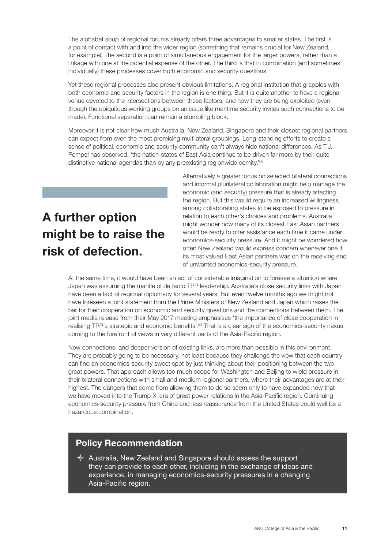The alphabet soup of regional forums already offers three advantages to smaller states. The first is a point of contact with and into the wider region (something that remains crucial for New Zealand, for example). The second is a point of simultaneous engagement for the larger powers, rather than a linkage with one at the potential expense of the other. The third is that in combination (and sometimes individually) these processes cover both economic and security questions.

Yet these regional processes also present obvious limitations. A regional institution that grapples with both economic and security factors in the region is one thing. But it is quite another to have a regional venue devoted to the intersections between these factors, and how they are being exploited (even though the ubiquitous working groups on an issue like maritime security invites such connections to be made). Functional separation can remain a stumbling block.

Moreover it is not clear how much Australia, New Zealand, Singapore and their closest regional partners can expect from even the most promising multilateral groupings. Long-standing efforts to create a sense of political, economic and security community can't always hide national differences. As T.J. Pempel has observed, 'the nation-states of East Asia continue to be driven far more by their quite distinctive national agendas than by any preexisting regionwide comity.'62

# A further option might be to raise the risk of defection.

Alternatively a greater focus on selected bilateral connections and informal plurilateral collaboration might help manage the economic (and security) pressure that is already affecting the region. But this would require an increased willingness among collaborating states to be exposed to pressure in relation to each other's choices and problems. Australia might wonder how many of its closest East Asian partners would be ready to offer assistance each time it came under economics-security pressure. And it might be wondered how often New Zealand would express concern whenever one if its most valued East Asian partners was on the receiving end of unwanted economics-security pressure.

At the same time, it would have been an act of considerable imagination to foresee a situation where Japan was assuming the mantle of de facto TPP leadership. Australia's close security links with Japan have been a fact of regional diplomacy for several years. But even twelve months ago we might not have foreseen a joint statement from the Prime Ministers of New Zealand and Japan which raises the bar for their cooperation on economic and security questions and the connections between them. The joint media release from their May 2017 meeting emphasises 'the importance of close cooperation in realising TPP's strategic and economic benefits'.63 That is a clear sign of the economics-security nexus coming to the forefront of views in very different parts of the Asia-Pacific region.

New connections, and deeper version of existing links, are more than possible in this environment. They are probably going to be necessary, not least because they challenge the view that each country can find an economics-security sweet spot by just thinking about their positioning between the two great powers. That approach allows too much scope for Washington and Beijing to wield pressure in their bilateral connections with small and medium regional partners, where their advantages are at their highest. The dangers that come from allowing them to do so seem only to have expanded now that we have moved into the Trump-Xi era of great power relations in the Asia-Pacific region. Continuing economics-security pressure from China and less reassurance from the United States could well be a hazardous combination.

### Policy Recommendation

 $\triangle$  Australia, New Zealand and Singapore should assess the support they can provide to each other, including in the exchange of ideas and experience, in managing economics-security pressures in a changing Asia-Pacific region.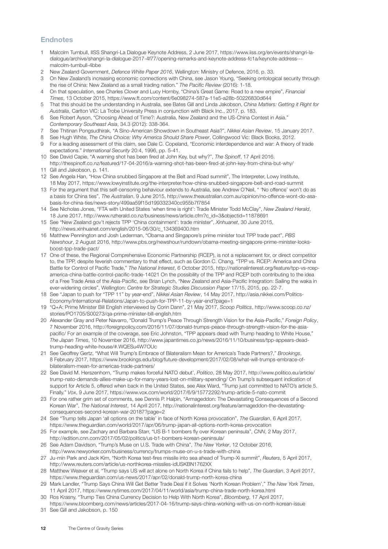#### **Endnotes**

- 1 Malcolm Turnbull, IISS Shangri-La Dialogue Keynote Address, 2 June 2017, https://www.iiss.org/en/events/shangri-ladialogue/archive/shangri-la-dialogue-2017-4f77/opening-remarks-and-keynote-address-fc1a/keynote-address--malcolm-turnbull-4bbe
- 2 New Zealand Government, *Defence White Paper 2016*, Wellington: Ministry of Defence, 2016, p. 33.
- 3 On New Zealand's increasing economic connections with China, see Jason Young, "Seeking ontological security through the rise of China: New Zealand as a small trading nation." *The Pacific Review* (2016): 1-18.
- 4 On that speculation, see Charles Clover and Lucy Hornby, "China's Great Game: Road to a new empire", *Financial Times*, 13 October 2015, https://www.ft.com/content/6e098274-587a-11e5-a28b-50226830d644
- 5 That this should be the understanding in Australia, see Bates Gill and Linda Jakobson, *China Matters: Getting it Right for Australia*, Carlton VIC: La Trobe University Press in conjunction with Black Inc., 2017, p. 183.
- 6 See Robert Ayson, "Choosing Ahead of Time?: Australia, New Zealand and the US-China Contest in Asia." *Contemporary Southeast Asia*, 34.3 (2012): 338-364.
- 7 See Thitinan Pongsudhirak, "A Sino-American Showdown in Southeast Asia?", *Nikkei Asian Review*, 15 January 2017.
- 8 See Hugh White, *The China Choice: Why America Should Share Power*, Collingwood Vic: Black Books, 2012.
- 9 For a leading assessment of this claim, see Dale C. Copeland, "Economic interdependence and war: A theory of trade expectations." *International Security* 20:4, 1996, pp. 5-41.
- 10 See David Capie, "A warning shot has been fired at John Key, but why?", *The Spinoff*, 17 April 2016. http://thespinoff.co.nz/featured/17-04-2016/a-warning-shot-has-been-fired-at-john-key-from-china-but-why/
- 11 Gill and Jakobson, p. 141.
- 12 See Angela Han, "How China snubbed Singapore at the Belt and Road summit", The Interpreter, Lowy Institute, 18 May 2017, https://www.lowyinstitute.org/the-interpreter/how-china-snubbed-singapore-belt-and-road-summit
- 13 For the argument that this self-censoring behaviour extends to Australia, see Andrew O'Neil, " 'No offence' won't do as a basis for China ties", *The Australian*, 9 June 2015, http://www.theaustralian.com.au/opinion/no-offence-wont-do-asabasis-for-china-ties/news-story/499aa59f15d199332340cc955b7f7854
- 14 See Nicholas Jones, "FTA with United States 'when time is right': Trade Minister Todd McClay", *New Zealand Herald*, 18 June 2017, http://www.nzherald.co.nz/business/news/article.cfm?c\_id=3&objectid=11878691
- 15 See "New Zealand gov't rejects TPP 'China containment': trade minister", *Xinhuanet*, 30 June 2015, http://news.xinhuanet.com/english/2015-06/30/c\_134369400.htm
- 16 Matthew Pennington and Josh Lederman, "Obama and Singapore's prime minister tout TPP trade pact", *PBS Newshour*, 2 August 2016, http://www.pbs.org/newshour/rundown/obama-meeting-singapore-prime-minister-looksboost-tpp-trade-pact/
- 17 One of these, the Regional Comprehensive Economic Partnership (RCEP), is not a replacement for, or direct competitor to, the TPP, despite feverish commentary to that effect, such as Gordon C. Chang, "TPP vs. RCEP: America and China Battle for Control of Pacific Trade," *The National Interest*, 6 October 2015, http://nationalinterest.org/feature/tpp-vs-rcepamerica-china-battle-control-pacific-trade-14021 On the possibility of the TPP and RCEP both contributing to the idea of a Free Trade Area of the Asia-Pacific, see Brian Lynch, "New Zealand and Asia-Pacific Integration: Sailing the waka in ever-widening circles", Wellington: *Centre for Strategic Studies Discussion Paper* 17/15, 2015, pp. 22-7.
- 18 See "Japan to push for "TPP 11" by year-end", *Nikkei Asian Review*, 14 May 2017, http://asia.nikkei.com/Politics-Economy/International-Relations/Japan-to-push-for-TPP-11-by-year-end?page=1
- 19 "Q+A: Prime Minister Bill English interviewed by Corin Dann", 21 May 2017, *Scoop Politics*, http://www.scoop.co.nz/ stories/PO1705/S00273/qa-prime-minister-bill-english.htm
- 20 Alexander Gray and Peter Navarro, "Donald Trump's Peace Through Strength Vision for the Asia-Pacific," *Foreign Policy*, 7 November 2016, http://foreignpolicy.com/2016/11/07/donald-trumps-peace-through-strength-vision-for-the-asiapacific/ For an example of the coverage, see Eric Johnston, "TPP appears dead with Trump heading to White House," *The Japan Times*, 10 November 2016, http://www.japantimes.co.jp/news/2016/11/10/business/tpp-appears-deadtrump-heading-white-house/#.WQESu4W7OUc
- 21 See Geoffrey Gertz, "What Will Trump's Embrace of Bilateralism Mean for America's Trade Partners?," *Brookings*, 8 February 2017, https://www.brookings.edu/blog/future-development/2017/02/08/what-will-trumps-embrace-ofbilateralism-mean-for-americas-trade-partners/
- 22 See David M. Herszenhorn, "Trump makes forceful NATO debut', *Politico*, 28 May 2017, http://www.politico.eu/article/ trump-nato-demands-allies-make-up-for-many-years-lost-on-military-spending/ On Trump's subsequent indication of support for Article 5, offered when back in the United States, see Alex Ward, "Trump just committed to NATO's article 5. Finally." *Vox*, 9 June 2017, https://www.vox.com/world/2017/6/9/15772292/trump-article-5-nato-commit
- 23 For one rather grim set of comments, see Dennis P. Halpin, "Armageddon: The Devastating Consequences of a Second Korean War", *The National Interest*, 14 April 2017, http://nationalinterest.org/feature/armageddon-the-devastatingconsequences-second-korean-war-20187?page=2
- 24 See "Trump tells Japan 'all options on the table' in face of North Korea provocation", *The Guardian*, 6 April 2017, https://www.theguardian.com/world/2017/apr/06/trump-japan-all-options-north-korea-provocation
- 25 For example, see Zachary and Barbara Starr, "US B-1 bombers fly over Korean peninsula", *CNN*, 2 May 2017, http://edition.cnn.com/2017/05/02/politics/us-b1-bombers-korean-peninsula/
- 26 See Adam Davidson, "Trump's Muse on U.S. Trade with China", *The New Yorker*, 12 October 2016, http://www.newyorker.com/business/currency/trumps-muse-on-u-s-trade-with-china
- 27 Ju-min Park and Jack Kim, "North Korea test-fires missile into sea ahead of Trump-Xi summit", *Reuters*, 5 April 2017, http://www.reuters.com/article/us-northkorea-missiles-idUSKBN1762XX
- 28 Matthew Weaver et al, "Trump says US will act alone on North Korea if China fails to help", *The Guardian*, 3 April 2017, https://www.theguardian.com/us-news/2017/apr/02/donald-trump-north-korea-china
- 29 Mark Landler, "Trump Says China Will Get Better Trade Deal if it Solves 'North Korean Problem'," *The New York Times*, 11 April 2017, https://www.nytimes.com/2017/04/11/world/asia/trump-china-trade-north-korea.html
- 30 Ros Krasny, "Trump Ties China Currency Decision to Help With North Korea", *Bloomberg*, 17 April 2017, https://www.bloomberg.com/news/articles/2017-04-16/trump-says-china-working-with-us-on-north-korean-issue
- 31 See Gill and Jakobson, p. 150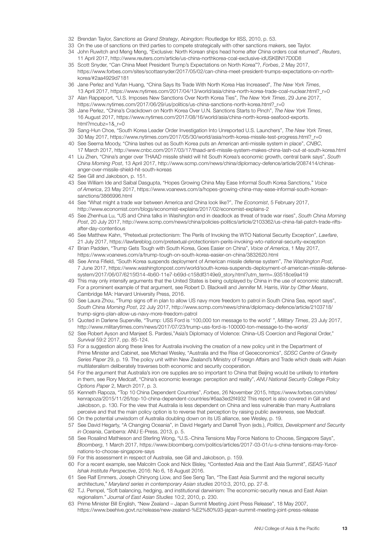- 32 Brendan Taylor, *Sanctions as Grand Strategy*, Abingdon: Routledge for IISS, 2010, p. 53.
- 33 On the use of sanctions on third parties to compete strategically with other sanctions makers, see Taylor.
- 34 John Ruwitch and Meng Meng, "Exclusive: North Korean ships head home after China orders coal returned", *Reuters*, 11 April 2017, http://www.reuters.com/article/us-china-northkorea-coal-exclusive-idUSKBN17D0D8
- 35 Scott Snyder, "Can China Meet President Trump's Expectations on North Korea"?, *Forbes*, 2 May 2017, https://www.forbes.com/sites/scottasnyder/2017/05/02/can-china-meet-president-trumps-expectations-on-northkorea/#2aa4929d7181
- 36 Jane Perlez and Yufan Huang, "China Says Its Trade With North Korea Has Increased", *The New York Times*, 13 April 2017, https://www.nytimes.com/2017/04/13/world/asia/china-north-korea-trade-coal-nuclear.html?\_r=0
- 37 Alan Rappeport, "U.S. Imposes New Sanctions Over North Korea Ties", *The New York Times*, 29 June 2017, https://www.nytimes.com/2017/06/29/us/politics/us-china-sanctions-north-korea.html?\_r=0
- 38 Jane Perlez, "China's Crackdown on North Korea Over U.N. Sanctions Starts to Pinch", *The New York Times*, 16 August 2017, https://www.nytimes.com/2017/08/16/world/asia/china-north-korea-seafood-exports. html?mcubz=1&\_r=0
- 39 Sang-Hun Choe, "South Korea Leader Order Investigation Into Unreported U.S. Launchers", *The New York Times*, 30 May 2017, https://www.nytimes.com/2017/05/30/world/asia/north-korea-missile-test-progress.html?\_r=0
- 40 See Seema Moody, "China lashes out as South Korea puts an American anti-missile system in place", *CNBC*, 17 March 2017, http://www.cnbc.com/2017/03/17/thaad-anti-missile-system-makes-china-lash-out-at-south-korea.html
- 41 Liu Zhen, "China's anger over THAAD missile shield will hit South Korea's economic growth, central bank says", *South China Morning Post*, 13 April 2017, http://www.scmp.com/news/china/diplomacy-defence/article/2087414/chinasanger-over-missile-shield-hit-south-koreas
- 42 See Gill and Jakobson, p. 151.
- 43 See William Ide and Saibal Dasgupta, "Hopes Growing China May Ease Informal South Korea Sanctions," *Voice of America*, 23 May 2017, https://www.voanews.com/a/hopes-growing-china-may-ease-informal-south-koreansanctions/3866996.html
- 44 See "What might a trade war between America and China look like?", *The Economist*, 5 February 2017, http://www.economist.com/blogs/economist-explains/2017/02/economist-explains-2
- 45 See Zhenhua Lu, "US and China talks in Washington end in deadlock as threat of trade war rises", *South China Morning Post*, 20 July 2017, http://www.scmp.com/news/china/policies-politics/article/2103362/us-china-fail-patch-trade-riftsafter-day-contentious
- 46 See Matthew Kahn, "Pretextual protectionism: The Perils of Invoking the WTO National Security Exception", *Lawfare*, 21 July 2017, https://lawfareblog.com/pretextual-protectionism-perils-invoking-wto-national-security-exception
- 47 Brian Padden, "Trump Gets Tough with South Korea, Goes Easier on China", *Voice of America*, 1 May 2017, https://www.voanews.com/a/trump-tough-on-south-korea-easier-on-china/3832620.html
- 48 See Anna Fifield, "South Korea suspends deployment of American missile defense system", *The Washington Post*, 7 June 2017, https://www.washingtonpost.com/world/south-korea-suspends-deployment-of-american-missile-defensesystem/2017/06/07/6215f314-4b60-11e7-b69d-c158df3149e9\_story.html?utm\_term=.93518ce9a419
- 49 This may only intensify arguments that the United States is being outplayed by China in the use of economic statecraft. For a prominent example of that argument, see Robert D. Blackwill and Jennifer M. Harris, *War by Other Means*, Cambridge MA: Harvard University Press, 2016.
- 50 See Laura Zhou, "Trump signs off in plan to allow US navy more freedom to patrol in South China Sea, report says", *South China Morning Post*, 22 July 2017, http://www.scmp.com/news/china/diplomacy-defence/article/2103718/ trump-signs-plan-allow-us-navy-more-freedom-patrol
- 51 Quoted in Darlene Superville, "Trump: USS Ford is '100,000 ton message to the world' ", *Military Times*, 23 July 2017, http://www.militarytimes.com/news/2017/07/23/trump-uss-ford-is-100000-ton-message-to-the-world/
- 52 See Robert Ayson and Manjeet S. Pardesi,"Asia's Diplomacy of Violence: China–US Coercion and Regional Order," *Survival* 59:2 2017, pp. 85-124.
- 53 For a suggestion along these lines for Australia involving the creation of a new policy unit in the Department of Prime Minister and Cabinet, see Michael Wesley, "Australia and the Rise of Geoeconomics", *SDSC Centre of Gravity Series Paper* 29, p. 19. The policy unit within New Zealand's Ministry of Foreign Affairs and Trade which deals with Asian multilateralism deliberately traverses both economic and security cooperation.
- 54 For the argument that Australia's iron ore supplies are so important to China that Beijing would be unlikely to interfere in them, see Rory Medcalf, "China's economic leverage: perception and reality", *ANU National Security College Policy Options Paper* 2, March 2017, p. 3.
- 55 Kenneth Rapoza, "Top 10 China Dependent Countries", *Forbes*, 26 November 2015, https://www.forbes.com/sites/ kenrapoza/2015/11/26/top-10-china-dependent-countries/#6aa3ed2f4932 This report is also covered in Gill and Jakobson, p. 130. For the view that Australia is less dependent on China and less vulnerable than many Australians perceive and that the main policy option is to reverse that perception by raising public awareness, see Medcalf.
- 56 On the potential unwisdom of Australia doubling down on its US alliance, see Wesley, p. 19.
- 57 See David Hegarty, "A Changing Oceania", in David Hegarty and Darrell Tryon (eds.), *Politics, Development and Security in Oceania*, Canberra: ANU E-Press, 2013, p. 5.
- 58 See Rosalind Mathieson and Sterling Wong, "U.S.-China Tensions May Force Nations to Choose, Singapore Says", *Bloomberg*, 1 March 2017, https://www.bloomberg.com/politics/articles/2017-03-01/u-s-china-tensions-may-forcenations-to-choose-singapore-says
- 59 For this assessment in respect of Australia, see Gill and Jakobson, p. 159.
- 60 For a recent example, see Malcolm Cook and Nick Bisley, "Contested Asia and the East Asia Summit", *ISEAS-Yusof Ishak Institute Perspective*, 2016: No 6, 18 August 2016.
- 61 See Ralf Emmers, Joseph Chinyong Liow, and See Seng Tan, "The East Asia Summit and the regional security architecture," *Maryland series in contemporary Asian studies* 2010:3, 2010, pp. 27-8.
- 62 T.J. Pempel, "Soft balancing, hedging, and institutional darwinism: The economic-security nexus and East Asian regionalism." *Journal of East Asian Studies* 10:2, 2010, p. 230.
- 63 Prime Minister Bill English, "New Zealand Japan Summit Meeting Joint Press Release", 18 May 2007, https://www.beehive.govt.nz/release/new-zealand-%E2%80%93-japan-summit-meeting-joint-press-release